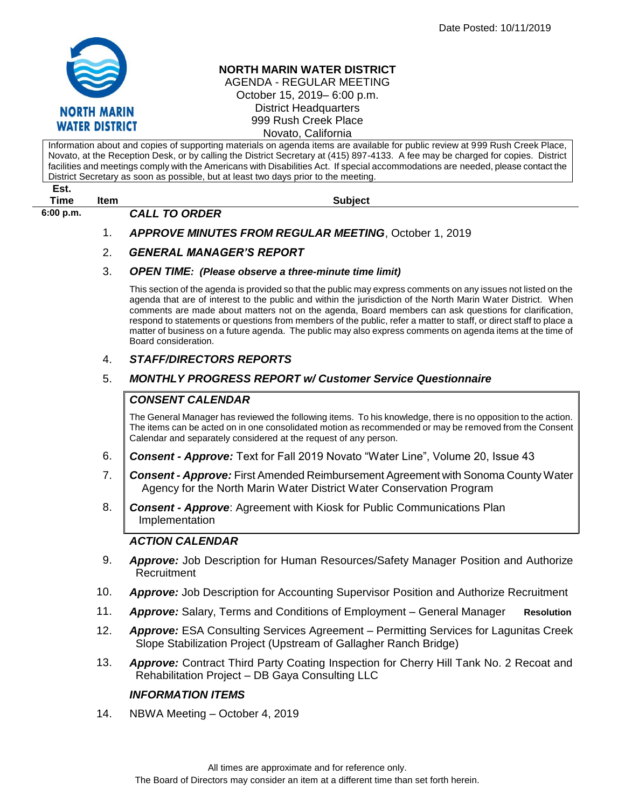

# **NORTH MARIN WATER DISTRICT**

AGENDA - REGULAR MEETING October 15, 2019– 6:00 p.m. District Headquarters 999 Rush Creek Place Novato, California

Information about and copies of supporting materials on agenda items are available for public review at 999 Rush Creek Place, Novato, at the Reception Desk, or by calling the District Secretary at (415) 897-4133. A fee may be charged for copies. District facilities and meetings comply with the Americans with Disabilities Act. If special accommodations are needed, please contact the District Secretary as soon as possible, but at least two days prior to the meeting. **Est. Time Item Subject 6:00 p.m.** *CALL TO ORDER* 

- 1. *APPROVE MINUTES FROM REGULAR MEETING*, October 1, 2019
- 2. *GENERAL MANAGER'S REPORT*

#### 3. *OPEN TIME: (Please observe a three-minute time limit)*

This section of the agenda is provided so that the public may express comments on any issues not listed on the agenda that are of interest to the public and within the jurisdiction of the North Marin Water District. When comments are made about matters not on the agenda, Board members can ask questions for clarification, respond to statements or questions from members of the public, refer a matter to staff, or direct staff to place a matter of business on a future agenda. The public may also express comments on agenda items at the time of Board consideration.

## 4. *STAFF/DIRECTORS REPORTS*

## 5. *MONTHLY PROGRESS REPORT w/ Customer Service Questionnaire*

## *CONSENT CALENDAR*

The General Manager has reviewed the following items. To his knowledge, there is no opposition to the action. The items can be acted on in one consolidated motion as recommended or may be removed from the Consent Calendar and separately considered at the request of any person.

- 6. *Consent - Approve:* Text for Fall 2019 Novato "Water Line", Volume 20, Issue 43
- 7. *Consent - Approve:* First Amended Reimbursement Agreement with Sonoma County Water Agency for the North Marin Water District Water Conservation Program
- 8. *Consent - Approve*: Agreement with Kiosk for Public Communications Plan Implementation

#### *ACTION CALENDAR*

- 9. *Approve:* Job Description for Human Resources/Safety Manager Position and Authorize **Recruitment**
- 10. *Approve:* Job Description for Accounting Supervisor Position and Authorize Recruitment
- 11. *Approve:* Salary, Terms and Conditions of Employment General Manager **Resolution**
- 12. *Approve:* ESA Consulting Services Agreement Permitting Services for Lagunitas Creek Slope Stabilization Project (Upstream of Gallagher Ranch Bridge)
- 13. *Approve:* Contract Third Party Coating Inspection for Cherry Hill Tank No. 2 Recoat and Rehabilitation Project – DB Gaya Consulting LLC

#### *INFORMATION ITEMS*

14. NBWA Meeting – October 4, 2019